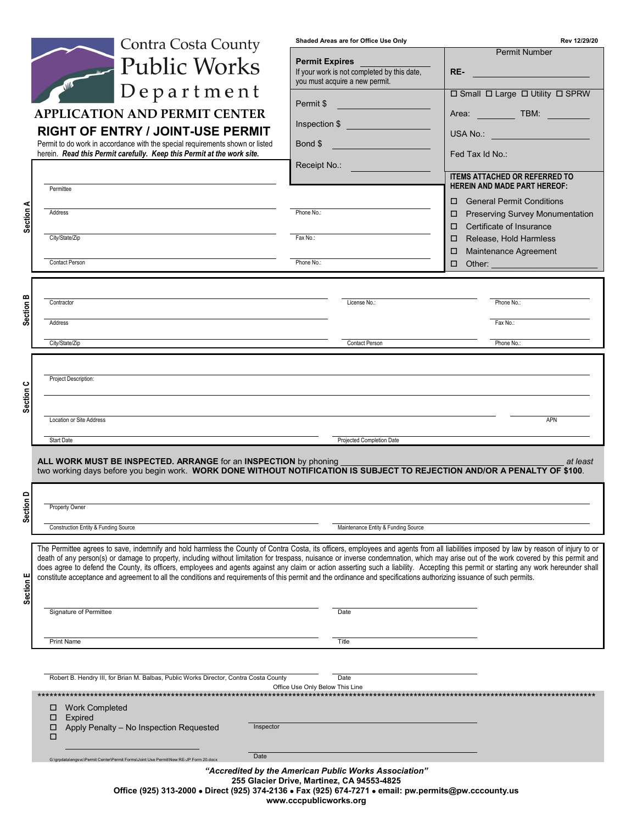|                                                                                                                                  | <b>Contra Costa County</b>                                                                                                                                                                                                                                                                                                                                                      | Shaded Areas are for Office Use Only                                                                                                                                                                         | Rev 12/29/20                                                                                                                                                                                                                         |
|----------------------------------------------------------------------------------------------------------------------------------|---------------------------------------------------------------------------------------------------------------------------------------------------------------------------------------------------------------------------------------------------------------------------------------------------------------------------------------------------------------------------------|--------------------------------------------------------------------------------------------------------------------------------------------------------------------------------------------------------------|--------------------------------------------------------------------------------------------------------------------------------------------------------------------------------------------------------------------------------------|
|                                                                                                                                  | <b>Public Works</b>                                                                                                                                                                                                                                                                                                                                                             | <b>Permit Expires</b>                                                                                                                                                                                        | <b>Permit Number</b>                                                                                                                                                                                                                 |
|                                                                                                                                  |                                                                                                                                                                                                                                                                                                                                                                                 | If your work is not completed by this date,<br>you must acquire a new permit.                                                                                                                                | <u> 1999 - Johann Barnett, fransk politiker (</u><br>RE-                                                                                                                                                                             |
|                                                                                                                                  | $Depart$ ment                                                                                                                                                                                                                                                                                                                                                                   | Permit \$                                                                                                                                                                                                    | □ Small □ Large □ Utility □ SPRW                                                                                                                                                                                                     |
|                                                                                                                                  | <b>APPLICATION AND PERMIT CENTER</b><br><b>RIGHT OF ENTRY / JOINT-USE PERMIT</b>                                                                                                                                                                                                                                                                                                | Inspection \$                                                                                                                                                                                                | Area: TBM: TBM:                                                                                                                                                                                                                      |
|                                                                                                                                  | Permit to do work in accordance with the special requirements shown or listed                                                                                                                                                                                                                                                                                                   | Bond \$                                                                                                                                                                                                      | USA No.: _______________________                                                                                                                                                                                                     |
|                                                                                                                                  | herein. Read this Permit carefully. Keep this Permit at the work site.                                                                                                                                                                                                                                                                                                          | Receipt No.:                                                                                                                                                                                                 | Fed Tax Id No.: <b>For the Second Street Street Street Street Street Street Street Street Street Street Street Street Street Street Street Street Street Street Street Street Street Street Street Street Street Street Street S</b> |
|                                                                                                                                  | Permittee                                                                                                                                                                                                                                                                                                                                                                       |                                                                                                                                                                                                              | <b>ITEMS ATTACHED OR REFERRED TO</b><br><b>HEREIN AND MADE PART HEREOF:</b>                                                                                                                                                          |
|                                                                                                                                  | Address                                                                                                                                                                                                                                                                                                                                                                         | Phone No.:                                                                                                                                                                                                   | <b>General Permit Conditions</b><br>п.<br><b>Preserving Survey Monumentation</b><br>□                                                                                                                                                |
| Section A                                                                                                                        |                                                                                                                                                                                                                                                                                                                                                                                 |                                                                                                                                                                                                              | Certificate of Insurance<br>п                                                                                                                                                                                                        |
|                                                                                                                                  | City/State/Zip                                                                                                                                                                                                                                                                                                                                                                  | Fax No.:                                                                                                                                                                                                     | Release, Hold Harmless<br>□<br>Maintenance Agreement<br>□                                                                                                                                                                            |
|                                                                                                                                  | Contact Person                                                                                                                                                                                                                                                                                                                                                                  | Phone No.:                                                                                                                                                                                                   | $\Box$<br>Other:                                                                                                                                                                                                                     |
| ≃                                                                                                                                |                                                                                                                                                                                                                                                                                                                                                                                 |                                                                                                                                                                                                              |                                                                                                                                                                                                                                      |
| ction                                                                                                                            | Contractor                                                                                                                                                                                                                                                                                                                                                                      | License No.:                                                                                                                                                                                                 | Phone No.:                                                                                                                                                                                                                           |
|                                                                                                                                  | Address                                                                                                                                                                                                                                                                                                                                                                         |                                                                                                                                                                                                              | Fax No.:                                                                                                                                                                                                                             |
|                                                                                                                                  | City/State/Zip                                                                                                                                                                                                                                                                                                                                                                  | Contact Person                                                                                                                                                                                               | Phone No.:                                                                                                                                                                                                                           |
|                                                                                                                                  | Project Description:                                                                                                                                                                                                                                                                                                                                                            |                                                                                                                                                                                                              |                                                                                                                                                                                                                                      |
| ᅗ                                                                                                                                |                                                                                                                                                                                                                                                                                                                                                                                 |                                                                                                                                                                                                              |                                                                                                                                                                                                                                      |
|                                                                                                                                  | Location or Site Address                                                                                                                                                                                                                                                                                                                                                        |                                                                                                                                                                                                              | <b>APN</b>                                                                                                                                                                                                                           |
|                                                                                                                                  | <b>Start Date</b>                                                                                                                                                                                                                                                                                                                                                               | Projected Completion Date                                                                                                                                                                                    |                                                                                                                                                                                                                                      |
|                                                                                                                                  | ALL WORK MUST BE INSPECTED. ARRANGE for an INSPECTION by phoning                                                                                                                                                                                                                                                                                                                |                                                                                                                                                                                                              | at least                                                                                                                                                                                                                             |
|                                                                                                                                  | two working days before you begin work. WORK DONE WITHOUT NOTIFICATION IS SUBJECT TO REJECTION AND/OR A PENALTY OF \$100.                                                                                                                                                                                                                                                       |                                                                                                                                                                                                              |                                                                                                                                                                                                                                      |
|                                                                                                                                  |                                                                                                                                                                                                                                                                                                                                                                                 |                                                                                                                                                                                                              |                                                                                                                                                                                                                                      |
| ection<br>vī.                                                                                                                    | Property Owner                                                                                                                                                                                                                                                                                                                                                                  |                                                                                                                                                                                                              |                                                                                                                                                                                                                                      |
|                                                                                                                                  | Construction Entity & Funding Source                                                                                                                                                                                                                                                                                                                                            | Maintenance Entity & Funding Source                                                                                                                                                                          |                                                                                                                                                                                                                                      |
|                                                                                                                                  | The Permittee agrees to save, indemnify and hold harmless the County of Contra Costa, its officers, employees and agents from all liabilities imposed by law by reason of injury to or<br>death of any person(s) or damage to property, including without limitation for trespass, nuisance or inverse condemnation, which may arise out of the work covered by this permit and |                                                                                                                                                                                                              |                                                                                                                                                                                                                                      |
|                                                                                                                                  | does agree to defend the County, its officers, employees and agents against any claim or action asserting such a liability. Accepting this permit or starting any work hereunder shall<br>constitute acceptance and agreement to all the conditions and requirements of this permit and the ordinance and specifications authorizing issuance of such permits.                  |                                                                                                                                                                                                              |                                                                                                                                                                                                                                      |
| Section E                                                                                                                        |                                                                                                                                                                                                                                                                                                                                                                                 |                                                                                                                                                                                                              |                                                                                                                                                                                                                                      |
|                                                                                                                                  | Signature of Permittee                                                                                                                                                                                                                                                                                                                                                          | Date                                                                                                                                                                                                         |                                                                                                                                                                                                                                      |
|                                                                                                                                  | <b>Print Name</b>                                                                                                                                                                                                                                                                                                                                                               | Title                                                                                                                                                                                                        |                                                                                                                                                                                                                                      |
|                                                                                                                                  |                                                                                                                                                                                                                                                                                                                                                                                 |                                                                                                                                                                                                              |                                                                                                                                                                                                                                      |
| Robert B. Hendry III, for Brian M. Balbas, Public Works Director, Contra Costa County<br>Date<br>Office Use Only Below This Line |                                                                                                                                                                                                                                                                                                                                                                                 |                                                                                                                                                                                                              |                                                                                                                                                                                                                                      |
|                                                                                                                                  | □<br><b>Work Completed</b>                                                                                                                                                                                                                                                                                                                                                      |                                                                                                                                                                                                              |                                                                                                                                                                                                                                      |
|                                                                                                                                  | □<br><b>Expired</b><br>Inspector<br>Apply Penalty - No Inspection Requested<br>□                                                                                                                                                                                                                                                                                                |                                                                                                                                                                                                              |                                                                                                                                                                                                                                      |
|                                                                                                                                  | □                                                                                                                                                                                                                                                                                                                                                                               |                                                                                                                                                                                                              |                                                                                                                                                                                                                                      |
|                                                                                                                                  | Date<br>G:\grpdata\engsvc\Permit Center\Permit Forms\Joint Use Permit\New RE-JP Form 20.do                                                                                                                                                                                                                                                                                      |                                                                                                                                                                                                              |                                                                                                                                                                                                                                      |
|                                                                                                                                  |                                                                                                                                                                                                                                                                                                                                                                                 |                                                                                                                                                                                                              |                                                                                                                                                                                                                                      |
|                                                                                                                                  |                                                                                                                                                                                                                                                                                                                                                                                 | "Accredited by the American Public Works Association"<br>255 Glacier Drive, Martinez, CA 94553-4825<br>Office (925) 313-2000 . Direct (925) 374-2136 . Fax (925) 674-7271 . email: pw.permits@pw.cccounty.us |                                                                                                                                                                                                                                      |

**www.cccpublicworks.org**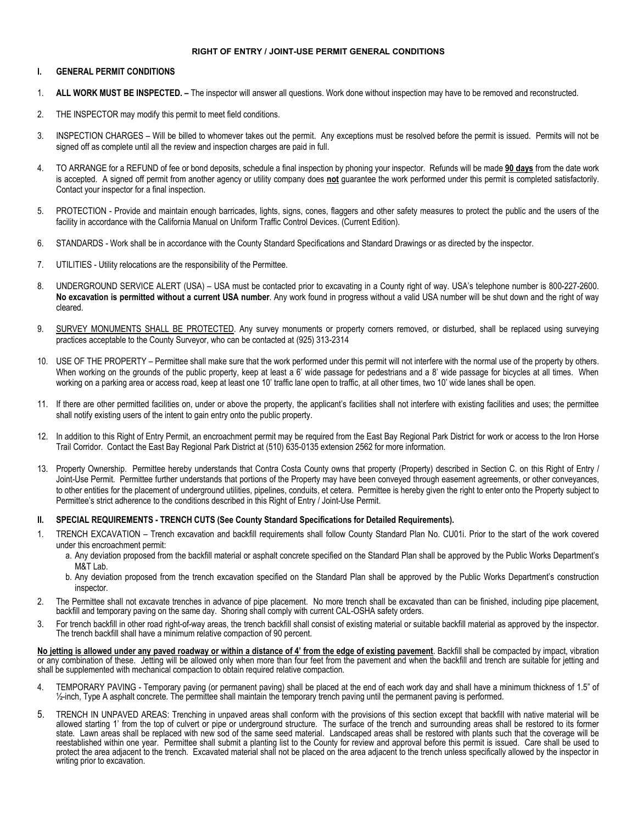#### **RIGHT OF ENTRY / JOINT-USE PERMIT GENERAL CONDITIONS**

#### **I. GENERAL PERMIT CONDITIONS**

- 1. **ALL WORK MUST BE INSPECTED. –** The inspector will answer all questions. Work done without inspection may have to be removed and reconstructed.
- 2. THE INSPECTOR may modify this permit to meet field conditions.
- 3. INSPECTION CHARGES Will be billed to whomever takes out the permit. Any exceptions must be resolved before the permit is issued. Permits will not be signed off as complete until all the review and inspection charges are paid in full.
- 4. TO ARRANGE for a REFUND of fee or bond deposits, schedule a final inspection by phoning your inspector. Refunds will be made **90 days** from the date work is accepted. A signed off permit from another agency or utility company does **not** guarantee the work performed under this permit is completed satisfactorily. Contact your inspector for a final inspection.
- 5. PROTECTION Provide and maintain enough barricades, lights, signs, cones, flaggers and other safety measures to protect the public and the users of the facility in accordance with the California Manual on Uniform Traffic Control Devices. (Current Edition).
- 6. STANDARDS Work shall be in accordance with the County Standard Specifications and Standard Drawings or as directed by the inspector.
- 7. UTILITIES Utility relocations are the responsibility of the Permittee.
- 8. UNDERGROUND SERVICE ALERT (USA) USA must be contacted prior to excavating in a County right of way. USA's telephone number is 800-227-2600. **No excavation is permitted without a current USA number**. Any work found in progress without a valid USA number will be shut down and the right of way cleared.
- 9. SURVEY MONUMENTS SHALL BE PROTECTED. Any survey monuments or property corners removed, or disturbed, shall be replaced using surveying practices acceptable to the County Surveyor, who can be contacted at (925) 313-2314
- 10. USE OF THE PROPERTY Permittee shall make sure that the work performed under this permit will not interfere with the normal use of the property by others. When working on the grounds of the public property, keep at least a 6' wide passage for pedestrians and a 8' wide passage for bicycles at all times. When working on a parking area or access road, keep at least one 10' traffic lane open to traffic, at all other times, two 10' wide lanes shall be open.
- 11. If there are other permitted facilities on, under or above the property, the applicant's facilities shall not interfere with existing facilities and uses; the permittee shall notify existing users of the intent to gain entry onto the public property.
- 12. In addition to this Right of Entry Permit, an encroachment permit may be required from the East Bay Regional Park District for work or access to the Iron Horse Trail Corridor. Contact the East Bay Regional Park District at (510) 635-0135 extension 2562 for more information.
- 13. Property Ownership. Permittee hereby understands that Contra Costa County owns that property (Property) described in Section C. on this Right of Entry / Joint-Use Permit. Permittee further understands that portions of the Property may have been conveyed through easement agreements, or other conveyances, to other entities for the placement of underground utilities, pipelines, conduits, et cetera. Permittee is hereby given the right to enter onto the Property subject to Permittee's strict adherence to the conditions described in this Right of Entry / Joint-Use Permit.

#### **II. SPECIAL REQUIREMENTS - TRENCH CUTS (See County Standard Specifications for Detailed Requirements).**

- 1. TRENCH EXCAVATION Trench excavation and backfill requirements shall follow County Standard Plan No. CU01i. Prior to the start of the work covered under this encroachment permit:
	- a. Any deviation proposed from the backfill material or asphalt concrete specified on the Standard Plan shall be approved by the Public Works Department's M&T Lab.
	- b. Any deviation proposed from the trench excavation specified on the Standard Plan shall be approved by the Public Works Department's construction inspector.
- 2. The Permittee shall not excavate trenches in advance of pipe placement. No more trench shall be excavated than can be finished, including pipe placement, backfill and temporary paving on the same day. Shoring shall comply with current CAL-OSHA safety orders.
- 3. For trench backfill in other road right-of-way areas, the trench backfill shall consist of existing material or suitable backfill material as approved by the inspector. The trench backfill shall have a minimum relative compaction of 90 percent.

**No jetting is allowed under any paved roadway or within a distance of 4' from the edge of existing pavement**. Backfill shall be compacted by impact, vibration or any combination of these. Jetting will be allowed only when more than four feet from the pavement and when the backfill and trench are suitable for jetting and shall be supplemented with mechanical compaction to obtain required relative compaction.

- 4. TEMPORARY PAVING Temporary paving (or permanent paving) shall be placed at the end of each work day and shall have a minimum thickness of 1.5" of ½-inch, Type A asphalt concrete. The permittee shall maintain the temporary trench paving until the permanent paving is performed.
- 5. TRENCH IN UNPAVED AREAS: Trenching in unpaved areas shall conform with the provisions of this section except that backfill with native material will be allowed starting 1' from the top of culvert or pipe or underground structure. The surface of the trench and surrounding areas shall be restored to its former state. Lawn areas shall be replaced with new sod of the same seed material. Landscaped areas shall be restored with plants such that the coverage will be reestablished within one year. Permittee shall submit a planting list to the County for review and approval before this permit is issued. Care shall be used to protect the area adjacent to the trench. Excavated material shall not be placed on the area adjacent to the trench unless specifically allowed by the inspector in writing prior to excavation.